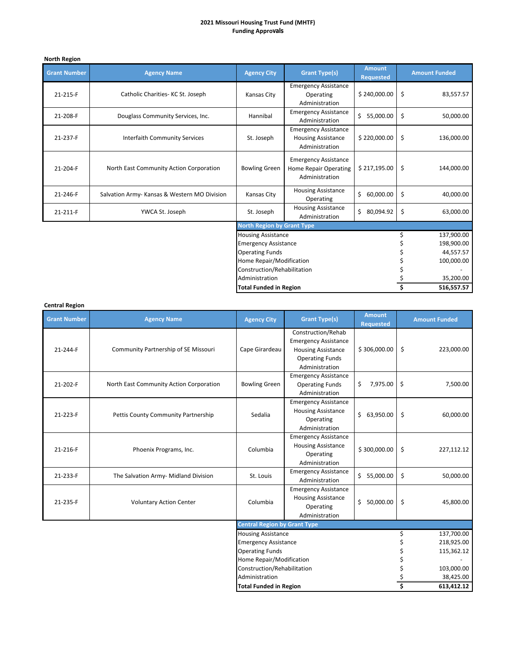## **2021 Missouri Housing Trust Fund (MHTF) Funding Approvals**

# **North Region**

| <b>Grant Number</b> | <b>Agency Name</b>                           | <b>Agency City</b>                | <b>Grant Type(s)</b>                                                          | <b>Amount</b><br><b>Requested</b> |           | <b>Amount Funded</b> |
|---------------------|----------------------------------------------|-----------------------------------|-------------------------------------------------------------------------------|-----------------------------------|-----------|----------------------|
| 21-215-F            | Catholic Charities-KC St. Joseph             | Kansas City                       | <b>Emergency Assistance</b><br>Operating<br>Administration                    | \$240,000.00                      | \$        | 83,557.57            |
| 21-208-F            | Douglass Community Services, Inc.            | Hannibal                          | <b>Emergency Assistance</b><br>Administration                                 | \$<br>55,000.00                   | \$        | 50,000.00            |
| 21-237-F            | <b>Interfaith Community Services</b>         | St. Joseph                        | <b>Emergency Assistance</b><br><b>Housing Assistance</b><br>Administration    | \$220,000.00                      | \$        | 136,000.00           |
| 21-204-F            | North East Community Action Corporation      | <b>Bowling Green</b>              | <b>Emergency Assistance</b><br><b>Home Repair Operating</b><br>Administration | \$217,195.00                      | \$        | 144,000.00           |
| 21-246-F            | Salvation Army- Kansas & Western MO Division | Kansas City                       | <b>Housing Assistance</b><br>Operating                                        | \$<br>60,000.00                   | \$        | 40,000.00            |
| 21-211-F            | YWCA St. Joseph                              | St. Joseph                        | <b>Housing Assistance</b><br>Administration                                   | \$<br>80,094.92                   | Ŝ.        | 63,000.00            |
|                     |                                              | <b>North Region by Grant Type</b> |                                                                               |                                   |           |                      |
|                     |                                              | <b>Housing Assistance</b>         |                                                                               |                                   |           | 137,900.00           |
|                     |                                              | <b>Emergency Assistance</b>       |                                                                               |                                   |           | 198,900.00           |
|                     |                                              | <b>Operating Funds</b>            |                                                                               |                                   |           | 44,557.57            |
|                     |                                              | Home Repair/Modification          |                                                                               |                                   |           | 100,000.00           |
|                     |                                              | Construction/Rehabilitation       |                                                                               |                                   |           |                      |
|                     | Administration                               |                                   |                                                                               |                                   | 35,200.00 |                      |
|                     |                                              | <b>Total Funded in Region</b>     |                                                                               |                                   |           | 516,557.57           |

## **Central Region**

| <b>Grant Number</b> | <b>Agency Name</b>                      | <b>Agency City</b>                                      | <b>Grant Type(s)</b>                                                                                                       | <b>Amount</b><br><b>Requested</b> |    | <b>Amount Funded</b> |
|---------------------|-----------------------------------------|---------------------------------------------------------|----------------------------------------------------------------------------------------------------------------------------|-----------------------------------|----|----------------------|
| 21-244-F            | Community Partnership of SE Missouri    | Cape Girardeau                                          | Construction/Rehab<br><b>Emergency Assistance</b><br><b>Housing Assistance</b><br><b>Operating Funds</b><br>Administration | \$306,000.00                      | \$ | 223,000.00           |
| 21-202-F            | North East Community Action Corporation | <b>Bowling Green</b>                                    | <b>Emergency Assistance</b><br><b>Operating Funds</b><br>Administration                                                    | 7,975.00<br>\$                    | \$ | 7,500.00             |
| 21-223-F            | Pettis County Community Partnership     | Sedalia                                                 | <b>Emergency Assistance</b><br><b>Housing Assistance</b><br>Operating<br>Administration                                    | \$63,950.00                       | \$ | 60,000.00            |
| 21-216-F            | Phoenix Programs, Inc.                  | Columbia                                                | <b>Emergency Assistance</b><br><b>Housing Assistance</b><br>Operating<br>Administration                                    | \$300,000.00                      | \$ | 227,112.12           |
| 21-233-F            | The Salvation Army- Midland Division    | St. Louis                                               | <b>Emergency Assistance</b><br>Administration                                                                              | \$5,000.00                        | \$ | 50,000.00            |
| 21-235-F            | <b>Voluntary Action Center</b>          | Columbia                                                | <b>Emergency Assistance</b><br><b>Housing Assistance</b><br>Operating<br>Administration                                    | \$50,000.00                       | \$ | 45,800.00            |
|                     |                                         | <b>Central Region by Grant Type</b>                     |                                                                                                                            |                                   |    |                      |
|                     |                                         | <b>Housing Assistance</b>                               |                                                                                                                            |                                   | Ś  | 137,700.00           |
|                     |                                         | <b>Emergency Assistance</b>                             |                                                                                                                            |                                   |    | 218,925.00           |
|                     |                                         | <b>Operating Funds</b>                                  |                                                                                                                            |                                   |    | 115,362.12           |
|                     |                                         | Home Repair/Modification<br>Construction/Rehabilitation |                                                                                                                            |                                   |    | 103,000.00           |
|                     |                                         | Administration                                          |                                                                                                                            |                                   |    | 38,425.00            |
|                     |                                         | <b>Total Funded in Region</b>                           |                                                                                                                            |                                   |    | 613,412.12           |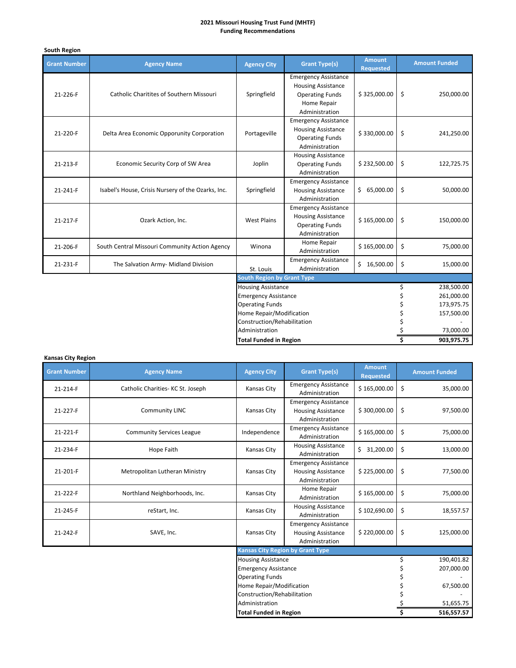## **2021 Missouri Housing Trust Fund (MHTF) Funding Recommendations**

| South Region                                  |                                                    |                                   |                                                                                                                     |                                   |                         |                      |
|-----------------------------------------------|----------------------------------------------------|-----------------------------------|---------------------------------------------------------------------------------------------------------------------|-----------------------------------|-------------------------|----------------------|
| <b>Grant Number</b>                           | <b>Agency Name</b>                                 | <b>Agency City</b>                | <b>Grant Type(s)</b>                                                                                                | <b>Amount</b><br><b>Requested</b> |                         | <b>Amount Funded</b> |
| 21-226-F                                      | <b>Catholic Charitites of Southern Missouri</b>    | Springfield                       | <b>Emergency Assistance</b><br><b>Housing Assistance</b><br><b>Operating Funds</b><br>Home Repair<br>Administration | \$325,000.00                      | \$                      | 250,000.00           |
| 21-220-F                                      | Delta Area Economic Opporunity Corporation         | Portageville                      | <b>Emergency Assistance</b><br><b>Housing Assistance</b><br><b>Operating Funds</b><br>Administration                | \$330,000.00                      | \$                      | 241,250.00           |
| 21-213-F                                      | Economic Security Corp of SW Area                  | Joplin                            | <b>Housing Assistance</b><br><b>Operating Funds</b><br>Administration                                               | \$232,500.00                      | \$                      | 122,725.75           |
| 21-241-F                                      | Isabel's House, Crisis Nursery of the Ozarks, Inc. | Springfield                       | <b>Emergency Assistance</b><br><b>Housing Assistance</b><br>Administration                                          | \$65,000.00                       | \$                      | 50,000.00            |
| 21-217-F                                      | Ozark Action, Inc.                                 | <b>West Plains</b>                | <b>Emergency Assistance</b><br><b>Housing Assistance</b><br><b>Operating Funds</b><br>Administration                | \$165,000.00                      | \$                      | 150,000.00           |
| 21-206-F                                      | South Central Missouri Community Action Agency     | Winona                            | Home Repair<br>Administration                                                                                       | \$165,000.00                      | \$                      | 75,000.00            |
| 21-231-F                                      | The Salvation Army- Midland Division               | St. Louis                         | <b>Emergency Assistance</b><br>Administration                                                                       | \$16,500.00                       | \$                      | 15,000.00            |
|                                               |                                                    | <b>South Region by Grant Type</b> |                                                                                                                     |                                   |                         |                      |
|                                               |                                                    | <b>Housing Assistance</b>         |                                                                                                                     |                                   | \$                      | 238,500.00           |
|                                               |                                                    | <b>Emergency Assistance</b>       |                                                                                                                     |                                   | Ś                       | 261,000.00           |
|                                               |                                                    | <b>Operating Funds</b>            |                                                                                                                     |                                   |                         | 173,975.75           |
|                                               |                                                    | Home Repair/Modification          |                                                                                                                     |                                   | \$                      | 157,500.00           |
| Construction/Rehabilitation<br>Administration |                                                    |                                   |                                                                                                                     |                                   |                         |                      |
| <b>Total Funded in Region</b>                 |                                                    |                                   |                                                                                                                     |                                   | 73,000.00<br>903,975.75 |                      |
|                                               |                                                    |                                   |                                                                                                                     |                                   |                         |                      |

## **Kansas City Region**

| <b>Grant Number</b> | <b>Agency Name</b>                            | <b>Agency City</b>                      | <b>Grant Type(s)</b>                                                       | <b>Amount</b><br><b>Requested</b> | <b>Amount Funded</b> |
|---------------------|-----------------------------------------------|-----------------------------------------|----------------------------------------------------------------------------|-----------------------------------|----------------------|
| 21-214-F            | Catholic Charities- KC St. Joseph             | Kansas City                             | <b>Emergency Assistance</b><br>Administration                              | \$165,000.00                      | \$<br>35,000.00      |
| 21-227-F            | Community LINC                                | Kansas City                             | <b>Emergency Assistance</b><br><b>Housing Assistance</b><br>Administration | \$300,000.00                      | \$<br>97,500.00      |
| 21-221-F            | <b>Community Services League</b>              | Independence                            | <b>Emergency Assistance</b><br>Administration                              | \$165,000.00                      | \$<br>75,000.00      |
| 21-234-F            | Hope Faith                                    | Kansas City                             | <b>Housing Assistance</b><br>Administration                                | \$31,200.00                       | \$<br>13,000.00      |
| 21-201-F            | Metropolitan Lutheran Ministry                | Kansas City                             | <b>Emergency Assistance</b><br><b>Housing Assistance</b><br>Administration | \$225,000.00                      | \$<br>77,500.00      |
| 21-222-F            | Northland Neighborhoods, Inc.                 | Kansas City                             | Home Repair<br>Administration                                              | \$165,000.00                      | \$<br>75,000.00      |
| 21-245-F            | reStart, Inc.                                 | Kansas City                             | <b>Housing Assistance</b><br>Administration                                | \$102,690.00                      | \$<br>18,557.57      |
| 21-242-F            | SAVE, Inc.                                    | Kansas City                             | <b>Emergency Assistance</b><br><b>Housing Assistance</b><br>Administration | \$220,000.00                      | \$<br>125,000.00     |
|                     |                                               | <b>Kansas City Region by Grant Type</b> |                                                                            |                                   |                      |
|                     |                                               | <b>Housing Assistance</b>               |                                                                            |                                   | \$<br>190,401.82     |
|                     |                                               | <b>Emergency Assistance</b>             |                                                                            |                                   | 207,000.00           |
|                     |                                               | <b>Operating Funds</b>                  |                                                                            |                                   |                      |
|                     |                                               | Home Repair/Modification                |                                                                            |                                   | 67,500.00            |
|                     | Construction/Rehabilitation<br>Administration |                                         |                                                                            |                                   |                      |
|                     | <b>Total Funded in Region</b>                 |                                         |                                                                            | 51,655.75<br>516,557.57           |                      |